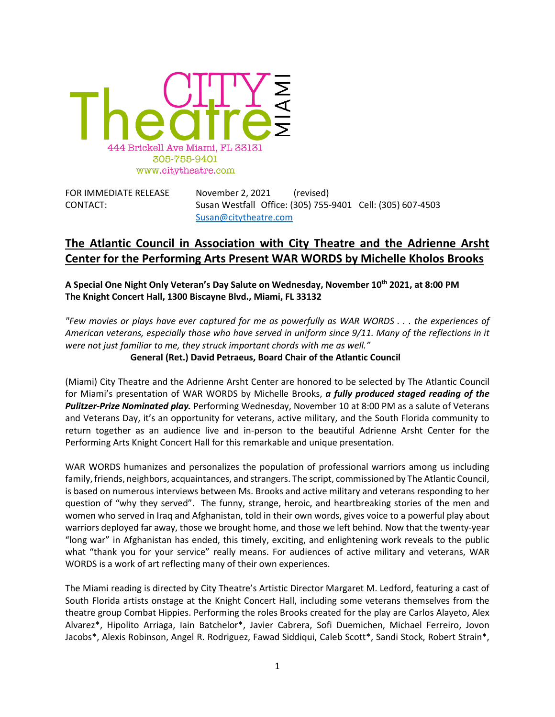

| FOR IMMEDIATE RELEASE | November 2, 2021      |  | (revised) |                                                            |
|-----------------------|-----------------------|--|-----------|------------------------------------------------------------|
| CONTACT:              |                       |  |           | Susan Westfall Office: (305) 755-9401 Cell: (305) 607-4503 |
|                       | Susan@citytheatre.com |  |           |                                                            |

# **The Atlantic Council in Association with City Theatre and the Adrienne Arsht Center for the Performing Arts Present WAR WORDS by Michelle Kholos Brooks**

**A Special One Night Only Veteran's Day Salute on Wednesday, November 10th 2021, at 8:00 PM The Knight Concert Hall, 1300 Biscayne Blvd., Miami, FL 33132**

*"Few movies or plays have ever captured for me as powerfully as WAR WORDS . . . the experiences of American veterans, especially those who have served in uniform since 9/11. Many of the reflections in it were not just familiar to me, they struck important chords with me as well."*

**General (Ret.) David Petraeus, Board Chair of the Atlantic Council**

(Miami) City Theatre and the Adrienne Arsht Center are honored to be selected by The Atlantic Council for Miami's presentation of WAR WORDS by Michelle Brooks, *a fully produced staged reading of the Pulitzer-Prize Nominated play.* Performing Wednesday, November 10 at 8:00 PM as a salute of Veterans and Veterans Day, it's an opportunity for veterans, active military, and the South Florida community to return together as an audience live and in-person to the beautiful Adrienne Arsht Center for the Performing Arts Knight Concert Hall for this remarkable and unique presentation.

WAR WORDS humanizes and personalizes the population of professional warriors among us including family, friends, neighbors, acquaintances, and strangers. The script, commissioned by The Atlantic Council, is based on numerous interviews between Ms. Brooks and active military and veterans responding to her question of "why they served". The funny, strange, heroic, and heartbreaking stories of the men and women who served in Iraq and Afghanistan, told in their own words, gives voice to a powerful play about warriors deployed far away, those we brought home, and those we left behind. Now that the twenty-year "long war" in Afghanistan has ended, this timely, exciting, and enlightening work reveals to the public what "thank you for your service" really means. For audiences of active military and veterans, WAR WORDS is a work of art reflecting many of their own experiences.

The Miami reading is directed by City Theatre's Artistic Director Margaret M. Ledford, featuring a cast of South Florida artists onstage at the Knight Concert Hall, including some veterans themselves from the theatre group Combat Hippies. Performing the roles Brooks created for the play are Carlos Alayeto, Alex Alvarez\*, Hipolito Arriaga, Iain Batchelor\*, Javier Cabrera, Sofi Duemichen, Michael Ferreiro, Jovon Jacobs\*, Alexis Robinson, Angel R. Rodriguez, Fawad Siddiqui, Caleb Scott\*, Sandi Stock, Robert Strain\*,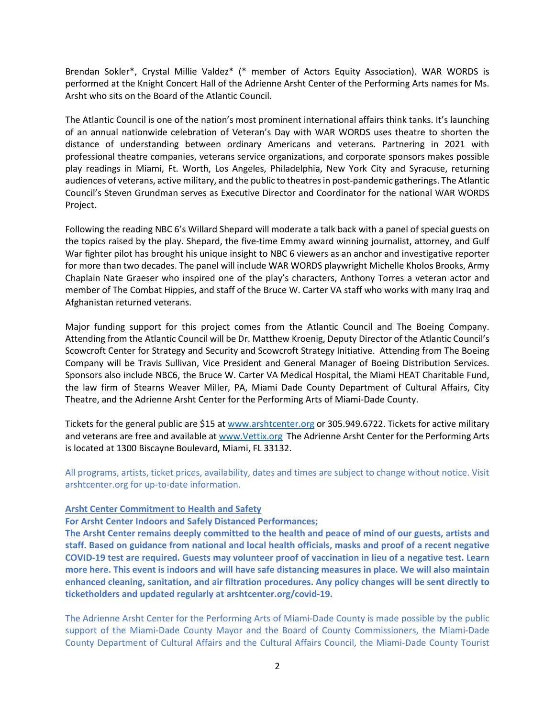Brendan Sokler\*, Crystal Millie Valdez\* (\* member of Actors Equity Association). WAR WORDS is performed at the Knight Concert Hall of the Adrienne Arsht Center of the Performing Arts names for Ms. Arsht who sits on the Board of the Atlantic Council.

The Atlantic Council is one of the nation's most prominent international affairs think tanks. It's launching of an annual nationwide celebration of Veteran's Day with WAR WORDS uses theatre to shorten the distance of understanding between ordinary Americans and veterans. Partnering in 2021 with professional theatre companies, veterans service organizations, and corporate sponsors makes possible play readings in Miami, Ft. Worth, Los Angeles, Philadelphia, New York City and Syracuse, returning audiences of veterans, active military, and the public to theatres in post-pandemic gatherings. The Atlantic Council's Steven Grundman serves as Executive Director and Coordinator for the national WAR WORDS Project.

Following the reading NBC 6's Willard Shepard will moderate a talk back with a panel of special guests on the topics raised by the play. Shepard, the five-time Emmy award winning journalist, attorney, and Gulf War fighter pilot has brought his unique insight to NBC 6 viewers as an anchor and investigative reporter for more than two decades. The panel will include WAR WORDS playwright Michelle Kholos Brooks, Army Chaplain Nate Graeser who inspired one of the play's characters, Anthony Torres a veteran actor and member of The Combat Hippies, and staff of the Bruce W. Carter VA staff who works with many Iraq and Afghanistan returned veterans.

Major funding support for this project comes from the Atlantic Council and The Boeing Company. Attending from the Atlantic Council will be Dr. Matthew Kroenig, Deputy Director of the Atlantic Council's Scowcroft Center for Strategy and Security and Scowcroft Strategy Initiative. Attending from The Boeing Company will be Travis Sullivan, Vice President and General Manager of Boeing Distribution Services. Sponsors also include NBC6, the Bruce W. Carter VA Medical Hospital, the Miami HEAT Charitable Fund, the law firm of Stearns Weaver Miller, PA, Miami Dade County Department of Cultural Affairs, City Theatre, and the Adrienne Arsht Center for the Performing Arts of Miami-Dade County.

Tickets for the general public are \$15 at [www.arshtcenter.org](http://www.arshtcenter.org/) or 305.949.6722. Tickets for active military and veterans are free and available a[t www.Vettix.org](http://www.vettix.org/) The Adrienne Arsht Center for the Performing Arts is located at 1300 Biscayne Boulevard, Miami, FL 33132.

All programs, artists, ticket prices, availability, dates and times are subject to change without notice. Visit arshtcenter.org for up-to-date information.

### **Arsht Center Commitment to Health and Safety**

**For Arsht Center Indoors and Safely Distanced Performances;** 

**The Arsht Center remains deeply committed to the health and peace of mind of our guests, artists and staff. Based on guidance from national and local health officials, masks and proof of a recent negative COVID-19 test are required. Guests may volunteer proof of vaccination in lieu of a negative test. Learn more here. This event is indoors and will have safe distancing measures in place. We will also maintain enhanced cleaning, sanitation, and air filtration procedures. Any policy changes will be sent directly to ticketholders and updated regularly at arshtcenter.org/covid-19.**

The Adrienne Arsht Center for the Performing Arts of Miami-Dade County is made possible by the public support of the Miami-Dade County Mayor and the Board of County Commissioners, the Miami-Dade County Department of Cultural Affairs and the Cultural Affairs Council, the Miami-Dade County Tourist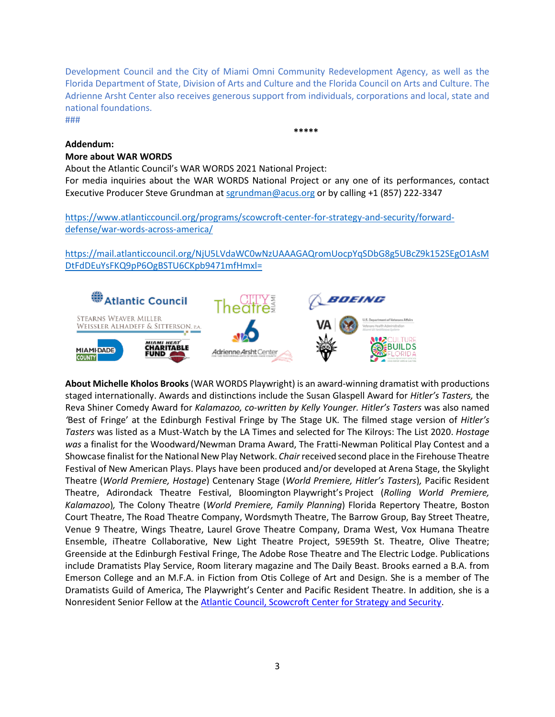Development Council and the City of Miami Omni Community Redevelopment Agency, as well as the Florida Department of State, Division of Arts and Culture and the Florida Council on Arts and Culture. The Adrienne Arsht Center also receives generous support from individuals, corporations and local, state and national foundations. ###

**\*\*\*\*\***

### **Addendum:**

### **More about WAR WORDS**

About the Atlantic Council's WAR WORDS 2021 National Project:

For media inquiries about the WAR WORDS National Project or any one of its performances, contact Executive Producer Steve Grundman a[t sgrundman@acus.org](mailto:sgrundman@acus.org) or by calling +1 (857) 222-3347

[https://www.atlanticcouncil.org/programs/scowcroft-center-for-strategy-and-security/forward](https://www.atlanticcouncil.org/programs/scowcroft-center-for-strategy-and-security/forward-defense/war-words-across-america/)[defense/war-words-across-america/](https://www.atlanticcouncil.org/programs/scowcroft-center-for-strategy-and-security/forward-defense/war-words-across-america/)

[https://mail.atlanticcouncil.org/NjU5LVdaWC0wNzUAAAGAQromUocpYqSDbG8g5UBcZ9k152SEgO1AsM](https://mail.atlanticcouncil.org/NjU5LVdaWC0wNzUAAAGAQromUocpYqSDbG8g5UBcZ9k152SEgO1AsMDtFdDEuYsFKQ9pP6OgBSTU6CKpb9471mfHmxl=) [DtFdDEuYsFKQ9pP6OgBSTU6CKpb9471mfHmxl=](https://mail.atlanticcouncil.org/NjU5LVdaWC0wNzUAAAGAQromUocpYqSDbG8g5UBcZ9k152SEgO1AsMDtFdDEuYsFKQ9pP6OgBSTU6CKpb9471mfHmxl=)



**About Michelle Kholos Brooks**(WAR WORDS Playwright) is an award-winning dramatist with productions staged internationally. Awards and distinctions include the Susan Glaspell Award for *Hitler's Tasters,* the Reva Shiner Comedy Award for *Kalamazoo, co-written by Kelly Younger. Hitler's Tasters* was also named *'*Best of Fringe' at the Edinburgh Festival Fringe by The Stage UK*.* The filmed stage version of *Hitler's Tasters* was listed as a Must-Watch by the LA Times and selected for The Kilroys: The List 2020. *Hostage was* a finalist for the Woodward/Newman Drama Award, The Fratti-Newman Political Play Contest and a Showcase finalist for the National New Play Network. *Chair* received second place in the Firehouse Theatre Festival of New American Plays. Plays have been produced and/or developed at Arena Stage, the Skylight Theatre (*World Premiere, Hostage*) Centenary Stage (*World Premiere, Hitler's Tasters*)*,* Pacific Resident Theatre, Adirondack Theatre Festival, Bloomington Playwright's Project (*Rolling World Premiere, Kalamazoo*)*,* The Colony Theatre (*World Premiere, Family Planning*) Florida Repertory Theatre, Boston Court Theatre, The Road Theatre Company, Wordsmyth Theatre, The Barrow Group, Bay Street Theatre, Venue 9 Theatre, Wings Theatre, Laurel Grove Theatre Company, Drama West, Vox Humana Theatre Ensemble, iTheatre Collaborative, New Light Theatre Project, 59E59th St. Theatre, Olive Theatre; Greenside at the Edinburgh Festival Fringe, The Adobe Rose Theatre and The Electric Lodge. Publications include Dramatists Play Service, Room literary magazine and The Daily Beast. Brooks earned a B.A. from Emerson College and an M.F.A. in Fiction from Otis College of Art and Design. She is a member of The Dramatists Guild of America, The Playwright's Center and Pacific Resident Theatre. In addition, she is a Nonresident Senior Fellow at th[e Atlantic Council, Scowcroft Center for Strategy and Security.](https://www.atlanticcouncil.org/programs/scowcroft-center-for-strategy-and-security/)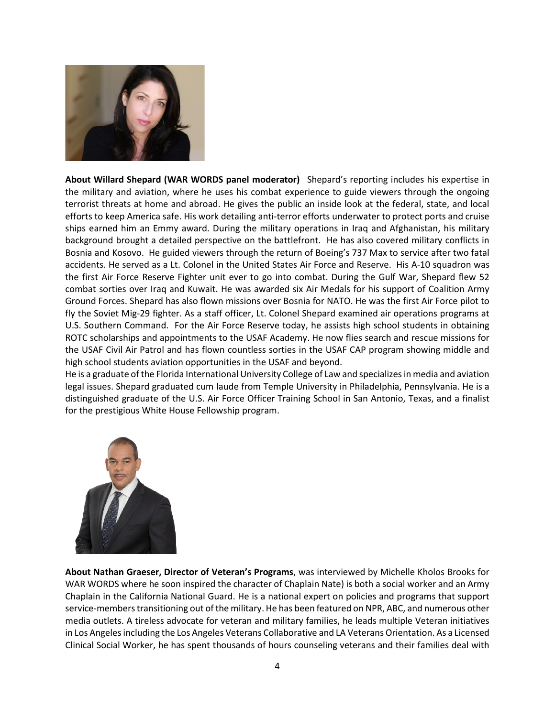

**About Willard Shepard (WAR WORDS panel moderator)** Shepard's reporting includes his expertise in the military and aviation, where he uses his combat experience to guide viewers through the ongoing terrorist threats at home and abroad. He gives the public an inside look at the federal, state, and local efforts to keep America safe. His work detailing anti-terror efforts underwater to protect ports and cruise ships earned him an Emmy award. During the military operations in Iraq and Afghanistan, his military background brought a detailed perspective on the battlefront. He has also covered military conflicts in Bosnia and Kosovo. He guided viewers through the return of Boeing's 737 Max to service after two fatal accidents. He served as a Lt. Colonel in the United States Air Force and Reserve. His A-10 squadron was the first Air Force Reserve Fighter unit ever to go into combat. During the Gulf War, Shepard flew 52 combat sorties over Iraq and Kuwait. He was awarded six Air Medals for his support of Coalition Army Ground Forces. Shepard has also flown missions over Bosnia for NATO. He was the first Air Force pilot to fly the Soviet Mig-29 fighter. As a staff officer, Lt. Colonel Shepard examined air operations programs at U.S. Southern Command. For the Air Force Reserve today, he assists high school students in obtaining ROTC scholarships and appointments to the USAF Academy. He now flies search and rescue missions for the USAF Civil Air Patrol and has flown countless sorties in the USAF CAP program showing middle and high school students aviation opportunities in the USAF and beyond.

He is a graduate of the Florida International University College of Law and specializes in media and aviation legal issues. Shepard graduated cum laude from Temple University in Philadelphia, Pennsylvania. He is a distinguished graduate of the U.S. Air Force Officer Training School in San Antonio, Texas, and a finalist for the prestigious White House Fellowship program.



**About Nathan Graeser, Director of Veteran's Programs**, was interviewed by Michelle Kholos Brooks for WAR WORDS where he soon inspired the character of Chaplain Nate) is both a social worker and an Army Chaplain in the California National Guard. He is a national expert on policies and programs that support service-members transitioning out of the military. He has been featured on NPR, ABC, and numerous other media outlets. A tireless advocate for veteran and military families, he leads multiple Veteran initiatives in Los Angeles including the Los Angeles Veterans Collaborative and LA Veterans Orientation. As a Licensed Clinical Social Worker, he has spent thousands of hours counseling veterans and their families deal with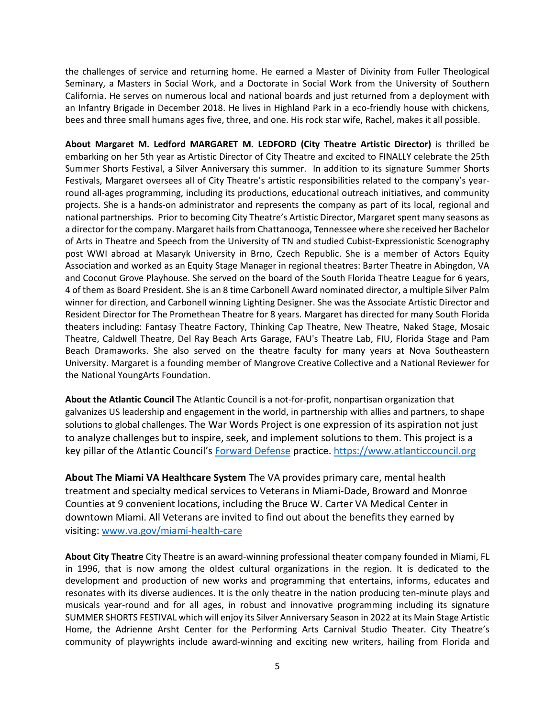the challenges of service and returning home. He earned a Master of Divinity from Fuller Theological Seminary, a Masters in Social Work, and a Doctorate in Social Work from the University of Southern California. He serves on numerous local and national boards and just returned from a deployment with an Infantry Brigade in December 2018. He lives in Highland Park in a eco-friendly house with chickens, bees and three small humans ages five, three, and one. His rock star wife, Rachel, makes it all possible.

**About Margaret M. Ledford MARGARET M. LEDFORD (City Theatre Artistic Director)** is thrilled be embarking on her 5th year as Artistic Director of City Theatre and excited to FINALLY celebrate the 25th Summer Shorts Festival, a Silver Anniversary this summer. In addition to its signature Summer Shorts Festivals, Margaret oversees all of City Theatre's artistic responsibilities related to the company's yearround all-ages programming, including its productions, educational outreach initiatives, and community projects. She is a hands-on administrator and represents the company as part of its local, regional and national partnerships. Prior to becoming City Theatre's Artistic Director, Margaret spent many seasons as a director for the company. Margaret hails from Chattanooga, Tennessee where she received her Bachelor of Arts in Theatre and Speech from the University of TN and studied Cubist-Expressionistic Scenography post WWI abroad at Masaryk University in Brno, Czech Republic. She is a member of Actors Equity Association and worked as an Equity Stage Manager in regional theatres: Barter Theatre in Abingdon, VA and Coconut Grove Playhouse. She served on the board of the South Florida Theatre League for 6 years, 4 of them as Board President. She is an 8 time Carbonell Award nominated director, a multiple Silver Palm winner for direction, and Carbonell winning Lighting Designer. She was the Associate Artistic Director and Resident Director for The Promethean Theatre for 8 years. Margaret has directed for many South Florida theaters including: Fantasy Theatre Factory, Thinking Cap Theatre, New Theatre, Naked Stage, Mosaic Theatre, Caldwell Theatre, Del Ray Beach Arts Garage, FAU's Theatre Lab, FIU, Florida Stage and Pam Beach Dramaworks. She also served on the theatre faculty for many years at Nova Southeastern University. Margaret is a founding member of Mangrove Creative Collective and a National Reviewer for the National YoungArts Foundation.

**About the Atlantic Council** The Atlantic Council is a not-for-profit, nonpartisan organization that galvanizes US leadership and engagement in the world, in partnership with allies and partners, to shape solutions to global challenges. The War Words Project is one expression of its aspiration not just to analyze challenges but to inspire, seek, and implement solutions to them. This project is a key pillar of the Atlantic Council's [Forward Defense](https://www.atlanticcouncil.org/programs/scowcroft-center-for-strategy-and-security/forward-defense/) practice. [https://www.atlanticcouncil.org](https://www.atlanticcouncil.org/)

**About The Miami VA Healthcare System** The VA provides primary care, mental health treatment and specialty medical services to Veterans in Miami-Dade, Broward and Monroe Counties at 9 convenient locations, including the Bruce W. Carter VA Medical Center in downtown Miami. All Veterans are invited to find out about the benefits they earned by visiting: [www.va.gov/miami-health-care](http://www.va.gov/miami-health-care)

**About City Theatre** City Theatre is an award-winning professional theater company founded in Miami, FL in 1996, that is now among the oldest cultural organizations in the region. It is dedicated to the development and production of new works and programming that entertains, informs, educates and resonates with its diverse audiences. It is the only theatre in the nation producing ten-minute plays and musicals year-round and for all ages, in robust and innovative programming including its signature SUMMER SHORTS FESTIVAL which will enjoy its Silver Anniversary Season in 2022 at its Main Stage Artistic Home, the Adrienne Arsht Center for the Performing Arts Carnival Studio Theater. City Theatre's community of playwrights include award-winning and exciting new writers, hailing from Florida and